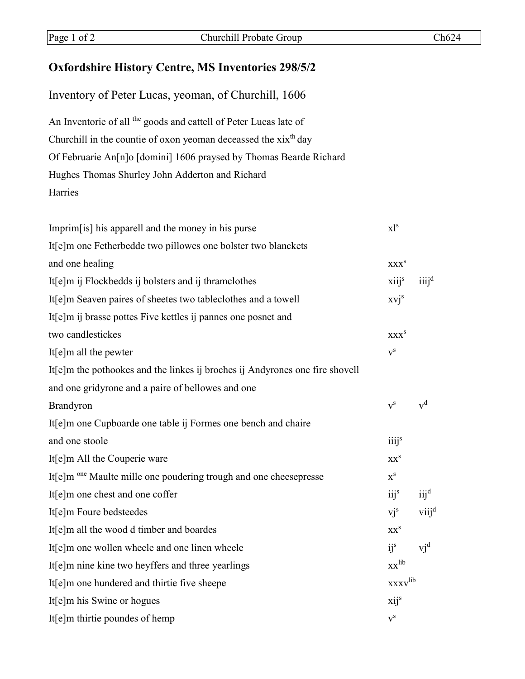## **Oxfordshire History Centre, MS Inventories 298/5/2**

| Inventory of Peter Lucas, yeoman, of Churchill, 1606                         |                           |                             |
|------------------------------------------------------------------------------|---------------------------|-----------------------------|
| An Inventorie of all the goods and cattell of Peter Lucas late of            |                           |                             |
| Churchill in the countie of oxon yeoman deceassed the xix <sup>th</sup> day  |                           |                             |
| Of Februarie An[n]o [domini] 1606 praysed by Thomas Bearde Richard           |                           |                             |
| Hughes Thomas Shurley John Adderton and Richard                              |                           |                             |
| Harries                                                                      |                           |                             |
| Imprim [is] his apparell and the money in his purse                          | $x$ <sup>1s</sup>         |                             |
| It[e]m one Fetherbedde two pillowes one bolster two blanckets                |                           |                             |
| and one healing                                                              | XXX <sup>S</sup>          |                             |
| It[e]m ij Flockbedds ij bolsters and ij thramclothes                         | xiij <sup>s</sup>         | iiij <sup>d</sup>           |
| It[e]m Seaven paires of sheetes two tableclothes and a towell                | $xvi^s$                   |                             |
| It[e]m ij brasse pottes Five kettles ij pannes one posnet and                |                           |                             |
| two candlestickes                                                            | <b>XXX</b> <sup>S</sup>   |                             |
| It $[e]$ m all the pewter                                                    | $v^s$                     |                             |
| It[e]m the pothookes and the linkes ij broches ij Andyrones one fire shovell |                           |                             |
| and one gridyrone and a paire of bellowes and one                            |                           |                             |
| Brandyron                                                                    | $\mathbf{v}^{\rm s}$      | $\mathbf{v}^\text{d}$       |
| It[e]m one Cupboarde one table ij Formes one bench and chaire                |                           |                             |
| and one stoole                                                               | iiij <sup>s</sup>         |                             |
| It[e]m All the Couperie ware                                                 | XX <sup>S</sup>           |                             |
| It[e]m one Maulte mille one poudering trough and one cheesepresse            | $\mathbf{x}^{\rm s}$      |                             |
| It[e]m one chest and one coffer                                              | iij <sup>s</sup>          | $\ddot{1} \ddot{1} \dot{1}$ |
| It[e]m Foure bedsteedes                                                      | $v^{\text{is}}$           | viij <sup>d</sup>           |
| It[e]m all the wood d timber and boardes                                     | XX <sup>S</sup>           |                             |
| It[e]m one wollen wheele and one linen wheele                                | $i^s$                     | $v^{\text{d}}$              |
| It[e]m nine kine two heyffers and three yearlings                            | $XX$ <sup>lib</sup>       |                             |
| It[e]m one hundered and thirtie five sheepe                                  | <b>xxxv</b> lib           |                             |
| It[e]m his Swine or hogues                                                   | xij <sup>s</sup>          |                             |
| It[e]m thirtie poundes of hemp                                               | $\mathbf{v}^{\mathbf{s}}$ |                             |